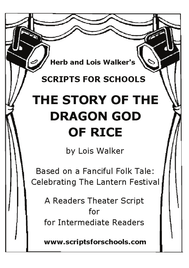**Herb and Lois Walker's** 

## **SCRIPTS FOR SCHOOLS**

## THE STORY OF THE **DRAGON GOD OF RICE**

by Lois Walker

Based on a Fanciful Folk Tale: Celebrating The Lantern Festival

A Readers Theater Script for for Intermediate Readers

www.scriptsforschools.com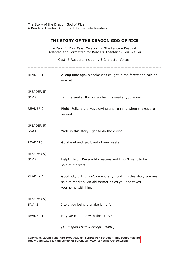## **THE STORY OF THE DRAGON GOD OF RICE**

| A Fanciful Folk Tale: Celebrating The Lantern Festival<br>Adapted and Formatted for Readers Theater by Lois Walker |                                                                                                                                           |
|--------------------------------------------------------------------------------------------------------------------|-------------------------------------------------------------------------------------------------------------------------------------------|
|                                                                                                                    | Cast: 5 Readers, including 3 Character Voices.                                                                                            |
| READER 1:                                                                                                          | A long time ago, a snake was caught in the forest and sold at<br>market.                                                                  |
| (READER 5)                                                                                                         |                                                                                                                                           |
| SNAKE:                                                                                                             | I'm the snake! It's no fun being a snake, you know.                                                                                       |
| <b>READER 2:</b>                                                                                                   | Right! Folks are always crying and running when snakes are<br>around.                                                                     |
| (READER 5)                                                                                                         |                                                                                                                                           |
| SNAKE:                                                                                                             | Well, in this story I get to do the crying.                                                                                               |
| READER3:                                                                                                           | Go ahead and get it out of your system.                                                                                                   |
| (READER 5)                                                                                                         |                                                                                                                                           |
| SNAKE:                                                                                                             | Help! Help! I'm a wild creature and I don't want to be<br>sold at market!                                                                 |
| <b>READER 4:</b>                                                                                                   | Good job, but it won't do you any good. In this story you are<br>sold at market. An old farmer pities you and takes<br>you home with him. |
| (READER 5)                                                                                                         |                                                                                                                                           |
| SNAKE:                                                                                                             | I told you being a snake is no fun.                                                                                                       |
| READER 1:                                                                                                          | May we continue with this story?                                                                                                          |
|                                                                                                                    | (All respond below except SNAKE).                                                                                                         |

Copyright, 2005: Take Part Productions (Scripts For Schools). This script may be **a**<br>freely duplicated within school of nurchase, www.scriptsforschools.com **freely duplicated within school of purchase. www.scriptsforschools.com**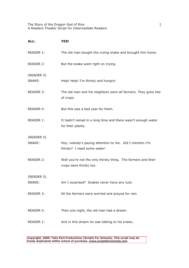The Story of the Dragon God of Rice A Readers Theater Script for Intermediate Readers

| ALL:                 | <b>YES!</b>                                                                              |
|----------------------|------------------------------------------------------------------------------------------|
| READER 1:            | The old man bought the crying snake and brought him home.                                |
| READER 2:            | But the snake went right on crying.                                                      |
| (READER 5)<br>SNAKE: | Help! Help! I'm thirsty and hungry!                                                      |
| READER 3:            | The old man and his neighbors were all farmers. They grew lots<br>of crops.              |
| READER 4:            | But this was a bad year for them.                                                        |
| READER 1:            | It hadn't rained in a long time and there wasn't enough water<br>for their plants.       |
| (READER 5)<br>SNAKE: | Hey, nobody's paying attention to me. Did I mention I'm<br>thirsty? I need some water!   |
| <b>READER 2:</b>     | Well you're not the only thirsty thing. The farmers and their<br>crops were thirsty too. |
| (READER 5)<br>SNAKE: | Am I surprised? Snakes never have any luck.                                              |
| READER 3:            | All the farmers were worried and prayed for rain.                                        |
| <b>READER 4:</b>     | Then one night, the old man had a dream.                                                 |
| READER 1:            | And in this dream he was talking to his snake                                            |

Copyright, 2005: Take Part Productions (Scripts For Schools). This script may be<br>frogly duplicated within school of nurshase, www.scriptsforcebools.com **freely duplicated within school of purchase. www.scriptsforschools.com**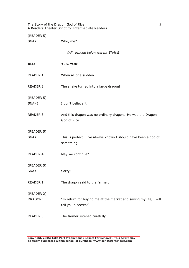The Story of the Dragon God of Rice A Readers Theater Script for Intermediate Readers

(READER 5)

SNAKE: Who, me?

*(All respond below except SNAKE).* 

| ALL:             | <b>YES, YOU!</b>                                                                         |
|------------------|------------------------------------------------------------------------------------------|
| READER 1:        | When all of a sudden                                                                     |
| <b>READER 2:</b> | The snake turned into a large dragon!                                                    |
| (READER 5)       |                                                                                          |
| SNAKE:           | I don't believe it!                                                                      |
| READER 3:        | And this dragon was no ordinary dragon. He was the Dragon<br>God of Rice.                |
| (READER 5)       |                                                                                          |
| SNAKE:           | This is perfect. I've always known I should have been a god of<br>something.             |
| READER 4:        | May we continue?                                                                         |
| (READER 5)       |                                                                                          |
| SNAKE:           | Sorry!                                                                                   |
| READER 1:        | The dragon said to the farmer:                                                           |
| (READER 2)       |                                                                                          |
| DRAGON:          | "In return for buying me at the market and saving my life, I will<br>tell you a secret." |
| READER 3:        | The farmer listened carefully.                                                           |

Copyright, 2005: Take Part Productions (Scripts For Schools). This script may<br>he freely duplicated within school of purchase, www.scriptsforschools.com **be freely duplicated within school of purchase. www.scriptsforschools.com**